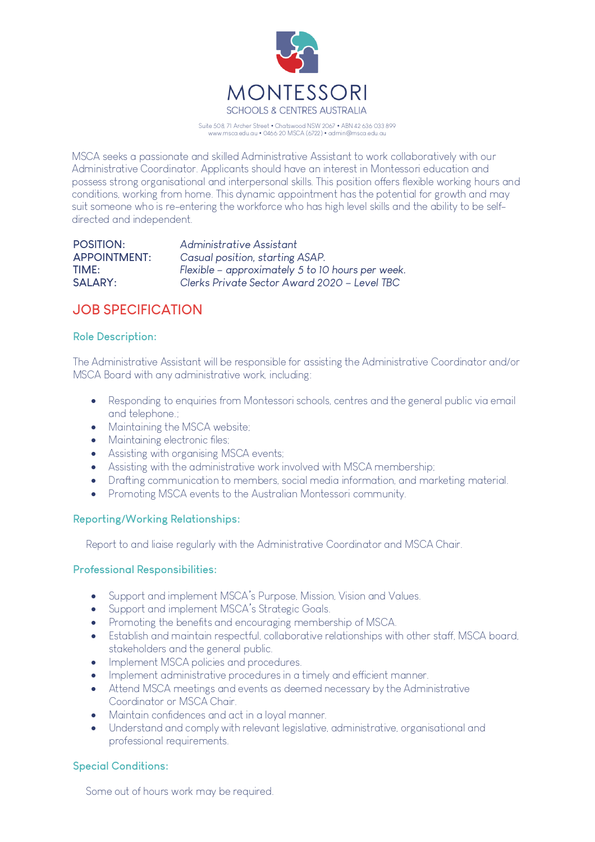

Suite 508, 71 Archer Street • Chatswood NSW 2067 • ABN 42 636 033 899 www.msca.edu.au • 0466 20 MSCA (6722) • admin@msca.edu.au

MSCA seeks a passionate and skilled Administrative Assistant to work collaboratively with our Administrative Coordinator. Applicants should have an interest in Montessori education and possess strong organisational and interpersonal skills. This position offers flexible working hours and conditions, working from home. This dynamic appointment has the potential for growth and may suit someone who is re-entering the workforce who has high level skills and the ability to be selfdirected and independent.

| POSITION:           | Administrative Assistant                         |
|---------------------|--------------------------------------------------|
| <b>APPOINTMENT:</b> | Casual position, starting ASAP.                  |
| TIME:               | Flexible – approximately 5 to 10 hours per week. |
| SALARY:             | Clerks Private Sector Award 2020 – Level TBC     |

# **JOB SPECIFICATION**

## **Role Description:**

The Administrative Assistant will be responsible for assisting the Administrative Coordinator and/or MSCA Board with any administrative work, including:

- Responding to enquiries from Montessori schools, centres and the general public via email and telephone.;
- Maintaining the MSCA website:
- Maintaining electronic files;
- Assisting with organising MSCA events;
- Assisting with the administrative work involved with MSCA membership;
- Drafting communication to members, social media information, and marketing material.
- Promoting MSCA events to the Australian Montessori community.

## **Reporting/Working Relationships:**

Report to and liaise regularly with the Administrative Coordinator and MSCA Chair.

## **Professional Responsibilities:**

- Support and implement MSCA's Purpose, Mission, Vision and Values.
- Support and implement MSCA's Strategic Goals.
- Promoting the benefits and encouraging membership of MSCA.
- Establish and maintain respectful, collaborative relationships with other staff, MSCA board, stakeholders and the general public.
- Implement MSCA policies and procedures.
- Implement administrative procedures in a timely and efficient manner.
- Attend MSCA meetings and events as deemed necessary by the Administrative Coordinator or MSCA Chair.
- Maintain confidences and act in a loyal manner.
- Understand and comply with relevant legislative, administrative, organisational and professional requirements.

## **Special Conditions:**

Some out of hours work may be required.